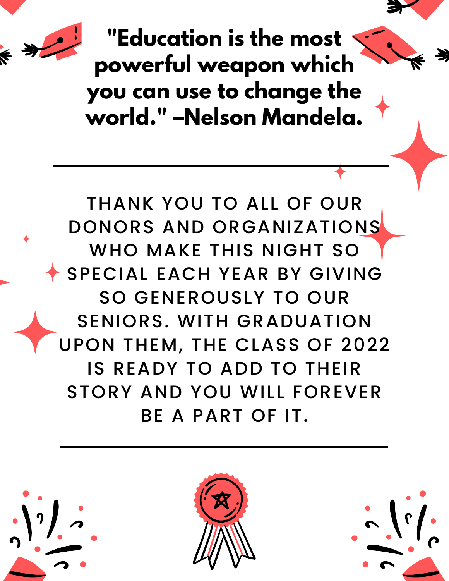

**"Education is the most powerful weapon which you can use to change the world. " –Nelson Mandela.**

THANK YOU TO ALL OF OUR DONORS AND ORGANIZATIONS WHO MAKE THIS NIGHT SO SPECIAL EACH YEAR BY GIVING SO GENEROUSLY TO OUR SENIORS. WITH GRADUATION UPON THEM, THE CLASS OF 2022 IS READY TO ADD TO THEIR STORY AND YOU WILL FOREVER BE A PART OF IT.

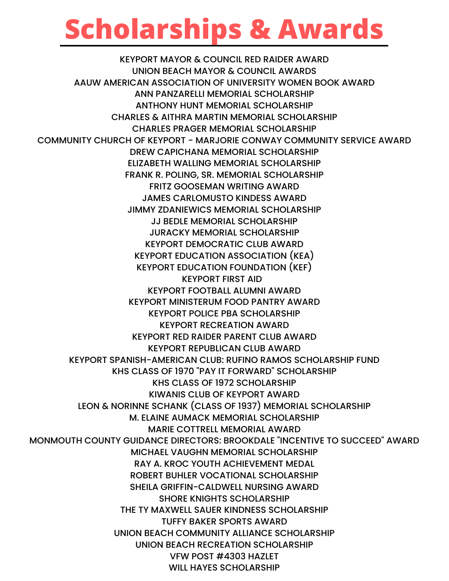### **Scholarships & Awards**

KEYPORT MAYOR & COUNCIL RED RAIDER AWARD UNION BEACH MAYOR & COUNCIL AWARDS AAUW AMERICAN ASSOCIATION OF UNIVERSITY WOMEN BOOK AWARD ANN PANZARELLI MEMORIAL SCHOLARSHIP ANTHONY HUNT MEMORIAL SCHOLARSHIP CHARLES & AITHRA MARTIN MEMORIAL SCHOLARSHIP CHARLES PRAGER MEMORIAL SCHOLARSHIP COMMUNITY CHURCH OF KEYPORT - MARJORIE CONWAY COMMUNITY SERVICE AWARD DREW CAPICHANA MEMORIAL SCHOLARSHIP ELIZABETH WALLING MEMORIAL SCHOLARSHIP FRANK R. POLING, SR. MEMORIAL SCHOLARSHIP FRITZ GOOSEMAN WRITING AWARD JAMES CARLOMUSTO KINDESS AWARD JIMMY ZDANIEWICS MEMORIAL SCHOLARSHIP JJ BEDLE MEMORIAL SCHOLARSHIP JURACKY MEMORIAL SCHOLARSHIP KEYPORT DEMOCRATIC CLUB AWARD KEYPORT EDUCATION ASSOCIATION (KEA) KEYPORT EDUCATION FOUNDATION (KEF) KEYPORT FIRST AID KEYPORT FOOTBALL ALUMNI AWARD KEYPORT MINISTERUM FOOD PANTRY AWARD KEYPORT POLICE PBA SCHOLARSHIP KEYPORT RECREATION AWARD KEYPORT RED RAIDER PARENT CLUB AWARD KEYPORT REPUBLICAN CLUB AWARD KEYPORT SPANISH-AMERICAN CLUB: RUFINO RAMOS SCHOLARSHIP FUND KHS CLASS OF 1970 "PAY IT FORWARD" SCHOLARSHIP KHS CLASS OF 1972 SCHOLARSHIP KIWANIS CLUB OF KEYPORT AWARD LEON & NORINNE SCHANK (CLASS OF 1937) MEMORIAL SCHOLARSHIP M. ELAINE AUMACK MEMORIAL SCHOLARSHIP MARIE COTTRELL MEMORIAL AWARD MONMOUTH COUNTY GUIDANCE DIRECTORS: BROOKDALE "INCENTIVE TO SUCCEED" AWARD MICHAEL VAUGHN MEMORIAL SCHOLARSHIP RAY A. KROC YOUTH ACHIEVEMENT MEDAL ROBERT BUHLER VOCATIONAL SCHOLARSHIP SHEILA GRIFFIN-CALDWELL NURSING AWARD SHORE KNIGHTS SCHOLARSHIP THE TY MAXWELL SAUER KINDNESS SCHOLARSHIP TUFFY BAKER SPORTS AWARD UNION BEACH COMMUNITY ALLIANCE SCHOLARSHIP UNION BEACH RECREATION SCHOLARSHIP VFW POST #4303 HAZLET WILL HAYES SCHOLARSHIP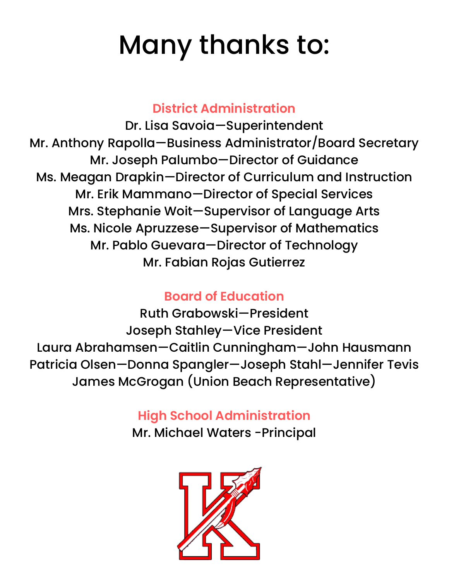## Many thanks to:

#### **District Administration**

Dr. Lisa Savoia—Superintendent Mr. Anthony Rapolla—Business Administrator/Board Secretary Mr. Joseph Palumbo—Director of Guidance Ms. Meagan Drapkin—Director of Curriculum and Instruction Mr. Erik Mammano—Director of Special Services Mrs. Stephanie Woit—Supervisor of Language Arts Ms. Nicole Apruzzese—Supervisor of Mathematics Mr. Pablo Guevara—Director of Technology Mr. Fabian Rojas Gutierrez

#### **Board of Education**

Ruth Grabowski—President Joseph Stahley—Vice President Laura Abrahamsen—Caitlin Cunningham—John Hausmann Patricia Olsen—Donna Spangler—Joseph Stahl—Jennifer Tevis James McGrogan (Union Beach Representative)

#### **High School Administration**

Mr. Michael Waters -Principal